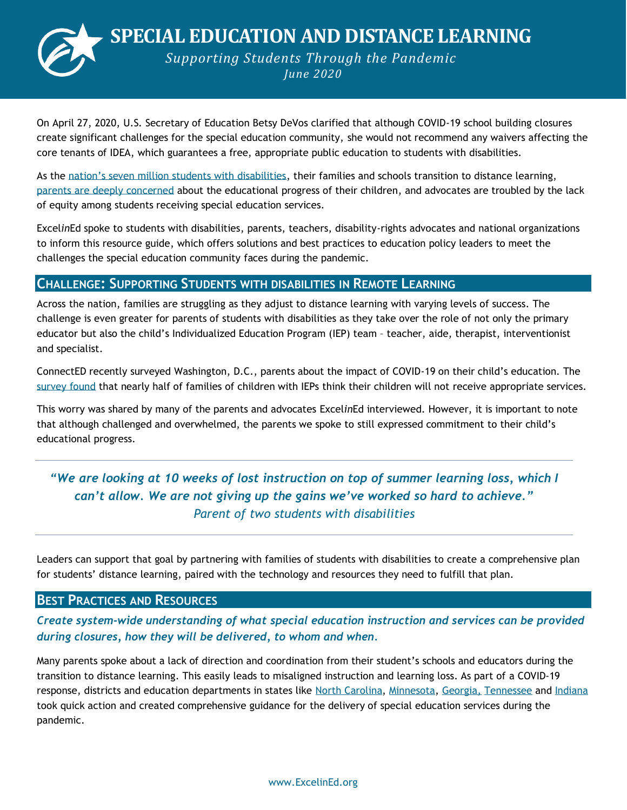**SPECIAL EDUCATION AND DISTANCE LEARNING**



*Supporting Students Through the Pandemic June 2020*

On April 27, 2020, U.S. Secretary of Education Betsy DeVos clarified that although COVID-19 school building closures create significant challenges for the special education community, she would not recommend any waivers affecting the core tenants of IDEA, which guarantees a free, appropriate public education to students with disabilities.

As the [nation's seven million students with disabilities](https://www.pewresearch.org/fact-tank/2020/04/23/as-schools-shift-to-online-learning-amid-pandemic-heres-what-we-know-about-disabled-students-in-the-u-s/?fbclid=IwAR0w3ms-N5huIf8SCuU8TBDnGdBEQhR1FTz-fX3GRcj36b_jHffS50vAcFY), their families and schools transition to distance learning, [parents are deeply concerned](https://www.theatlantic.com/education/archive/2020/04/special-education-goes-remote-covid-19-pandemic/610231/?fbclid=IwAR1UJW6WD8pmAJUmn7kqRg30Mfse6ibgajVeA1CbbdYCaQQn7suPx-hqCo4) about the educational progress of their children, and advocates are troubled by the lack of equity among students receiving special education services.

Excel*in*Ed spoke to students with disabilities, parents, teachers, disability-rights advocates and national organizations to inform this resource guide, which offers solutions and best practices to education policy leaders to meet the challenges the special education community faces during the pandemic.

## **CHALLENGE: SUPPORTING STUDENTS WITH DISABILITIES IN REMOTE LEARNING**

Across the nation, families are struggling as they adjust to distance learning with varying levels of success. The challenge is even greater for parents of students with disabilities as they take over the role of not only the primary educator but also the child's Individualized Education Program (IEP) team – teacher, aide, therapist, interventionist and specialist.

ConnectED recently surveyed Washington, D.C., parents about the impact of COVID-19 on their child's education. The [survey found](http://dcschoolreform.org/sites/default/files/ConnectED%20Parent%20Survey%20Results_1.pdf) that nearly half of families of children with IEPs think their children will not receive appropriate services.

This worry was shared by many of the parents and advocates Excel*in*Ed interviewed. However, it is important to note that although challenged and overwhelmed, the parents we spoke to still expressed commitment to their child's educational progress.

# *"We are looking at 10 weeks of lost instruction on top of summer learning loss, which I can't allow. We are not giving up the gains we've worked so hard to achieve." Parent of two students with disabilities*

Leaders can support that goal by partnering with families of students with disabilities to create a comprehensive plan for students' distance learning, paired with the technology and resources they need to fulfill that plan.

### **BEST PRACTICES AND RESOURCES**

*Create system-wide understanding of what special education instruction and services can be provided during closures, how they will be delivered, to whom and when.* 

Many parents spoke about a lack of direction and coordination from their student's schools and educators during the transition to distance learning. This easily leads to misaligned instruction and learning loss. As part of a COVID-19 response, districts and education departments in states like [North Carolina,](https://www.ednc.org/wp-content/uploads/2020/04/Cleveland-County-Schools-Guidelines-for-the-Delivery-of-Specially-Designed-Instruction-During-School-Closure-to-share.pdf) [Minnesota,](https://education.mn.gov/mdeprod/idcplg?IdcService=GET_FILE&dDocName=MDE032114&RevisionSelectionMethod=latestReleased&Rendition=primary) [Georgia,](https://mcusercontent.com/0bda5d5147ca0c51e1c30107f/files/939bde11-4307-4e4a-82b2-49cacad8285c/Special_Education_Services_COVID_19_Guidance.pdf) [Tennessee](https://www.tn.gov/content/dam/tn/education/health-&-safety/School%20Closure%20Toolkit_Special%20Populations.pdf) and [Indiana](https://docs.google.com/document/d/1daTpwPj-eXDgah6MyMNuJu9eRiOe7tAhbtB40YAEI1o/view) took quick action and created comprehensive guidance for the delivery of special education services during the pandemic.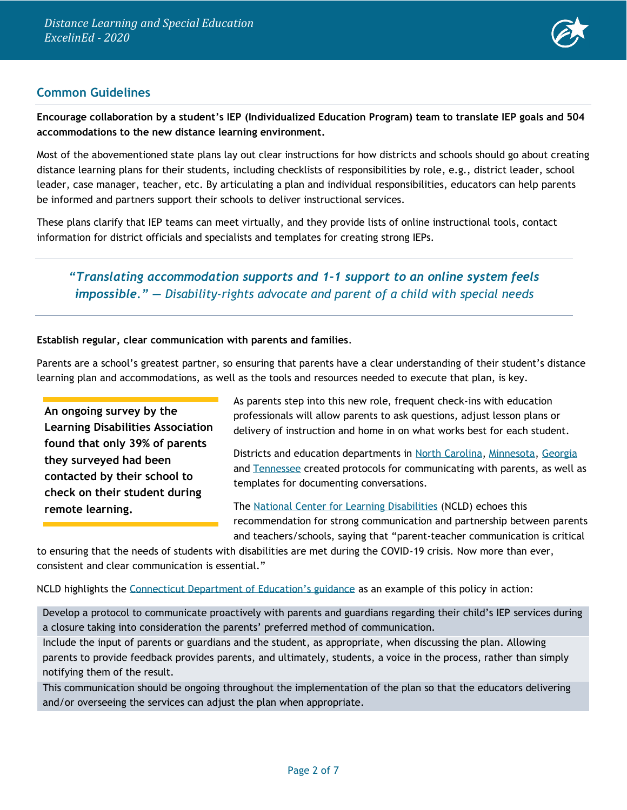

## **Common Guidelines**

**Encourage collaboration by a student's IEP (Individualized Education Program) team to translate IEP goals and 504 accommodations to the new distance learning environment.**

Most of the abovementioned state plans lay out clear instructions for how districts and schools should go about creating distance learning plans for their students, including checklists of responsibilities by role, e.g., district leader, school leader, case manager, teacher, etc. By articulating a plan and individual responsibilities, educators can help parents be informed and partners support their schools to deliver instructional services.

These plans clarify that IEP teams can meet virtually, and they provide lists of online instructional tools, contact information for district officials and specialists and templates for creating strong IEPs.

# *"Translating accommodation supports and 1-1 support to an online system feels impossible." — Disability-rights advocate and parent of a child with special needs*

#### **Establish regular, clear communication with parents and families**.

Parents are a school's greatest partner, so ensuring that parents have a clear understanding of their student's distance learning plan and accommodations, as well as the tools and resources needed to execute that plan, is key.

**An [ongoing survey](https://www.cleveland19.com/2020/05/20/students-with-disabilities-are-receiving-unequal-education-remote-learning/) by the Learning Disabilities Association found that only 39% of parents they surveyed had been contacted by their school to check on their student during remote learning.**

As parents step into this new role, frequent check-ins with education professionals will allow parents to ask questions, adjust lesson plans or delivery of instruction and home in on what works best for each student.

Districts and education departments in [North Carolina,](https://www.ednc.org/wp-content/uploads/2020/04/Cleveland-County-Schools-Guidelines-for-the-Delivery-of-Specially-Designed-Instruction-During-School-Closure-to-share.pdf) [Minnesota,](https://education.mn.gov/mdeprod/idcplg?IdcService=GET_FILE&dDocName=MDE032114&RevisionSelectionMethod=latestReleased&Rendition=primary) [Georgia](https://mcusercontent.com/0bda5d5147ca0c51e1c30107f/files/939bde11-4307-4e4a-82b2-49cacad8285c/Special_Education_Services_COVID_19_Guidance.pdf) and [Tennessee](https://www.tn.gov/content/dam/tn/education/health-&-safety/School%20Closure%20Toolkit_Special%20Populations.pdf) created protocols for communicating with parents, as well as templates for documenting conversations.

The [National Center for Learning Disabilities](https://www.ncld.org/wp-content/uploads/2020/04/Serving-Students-With-Disabilities-During-the-COVID-19-Crisis-Spotlight-on-Policy-Practice-Part-2-Family-School-Collaboration.04072020.pdf) (NCLD) echoes this recommendation for strong communication and partnership between parents and teachers/schools, saying that "parent-teacher communication is critical

to ensuring that the needs of students with disabilities are met during the COVID-19 crisis. Now more than ever, consistent and clear communication is essential."

NCLD highlights the [Connecticut Department of Education's guidance](https://portal.ct.gov/SDE/Special-Education/Bureau-of-Special-Education/Coronavirus) as an example of this policy in action:

Develop a protocol to communicate proactively with parents and guardians regarding their child's IEP services during a closure taking into consideration the parents' preferred method of communication.

Include the input of parents or guardians and the student, as appropriate, when discussing the plan. Allowing parents to provide feedback provides parents, and ultimately, students, a voice in the process, rather than simply notifying them of the result.

This communication should be ongoing throughout the implementation of the plan so that the educators delivering and/or overseeing the services can adjust the plan when appropriate.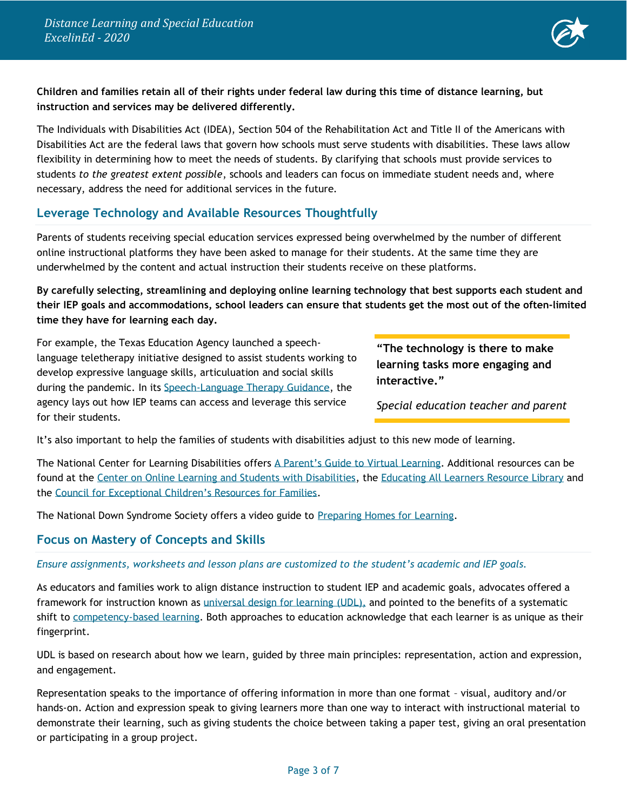

#### **Children and families retain all of their rights under federal law during this time of distance learning, but instruction and services may be delivered differently.**

The Individuals with Disabilities Act (IDEA), Section 504 of the Rehabilitation Act and Title II of the Americans with Disabilities Act are the federal laws that govern how schools must serve students with disabilities. These laws allow flexibility in determining how to meet the needs of students. By clarifying that schools must provide services to students *to the greatest extent possible*, schools and leaders can focus on immediate student needs and, where necessary, address the need for additional services in the future.

## **Leverage Technology and Available Resources Thoughtfully**

Parents of students receiving special education services expressed being overwhelmed by the number of different online instructional platforms they have been asked to manage for their students. At the same time they are underwhelmed by the content and actual instruction their students receive on these platforms.

**By carefully selecting, streamlining and deploying online learning technology that best supports each student and their IEP goals and accommodations, school leaders can ensure that students get the most out of the often-limited time they have for learning each day.** 

For example, the Texas Education Agency launched a speechlanguage teletherapy initiative designed to assist students working to develop expressive language skills, articuluation and social skills during the pandemic. In its [Speech-Language Therapy Guidance,](https://tea.texas.gov/sites/default/files/covid/covid19-speech-language-therapy-services-guidance.pdf) the agency lays out how IEP teams can access and leverage this service for their students.

**"The technology is there to make learning tasks more engaging and interactive."**

*Special education teacher and parent*

It's also important to help the families of students with disabilities adjust to this new mode of learning.

The National Center for Learning Disabilities offers [A Parent's Guide to Virtual Learning](https://www.ncld.org/wp-content/uploads/2020/03/A-Parents-Guide-to-Virtual-Learning-4-Actions-To-Improve-your-Childs-Experience-with-Online-Learning.pdf). Additional resources can be found at the [Center on Online Learning and Students with Disabilities,](http://www.centerononlinelearning.res.ku.edu/resources/) the [Educating All Learners Resource Library](https://www.educatingalllearners.org/resource-library) and the [Council for Exceptional Children's Resources for Families](https://www.cec.sped.org/Tools-and-Resources/For-Families).

The National Down Syndrome Society offers a video guide to [Preparing Homes for Learning.](https://www.youtube.com/watch?v=Z78KMZ65GfI#action=share)

### **Focus on Mastery of Concepts and Skills**

*Ensure assignments, worksheets and lesson plans are customized to the student's academic and IEP goals.* 

As educators and families work to align distance instruction to student IEP and academic goals, advocates offered a framework for instruction known as [universal design for learning](http://www.cast.org/our-work/about-udl.html) (UDL), and pointed to the benefits of a systematic shift to [competency-based learning.](https://aurora-institute.org/resource/what-is-competency-based-education-an-updated-definition/) Both approaches to education acknowledge that each learner is as unique as their fingerprint.

UDL is based on research about how we learn, guided by three main principles: representation, action and expression, and engagement.

Representation speaks to the importance of offering information in more than one format – visual, auditory and/or hands-on. Action and expression speak to giving learners more than one way to interact with instructional material to demonstrate their learning, such as giving students the choice between taking a paper test, giving an oral presentation or participating in a group project.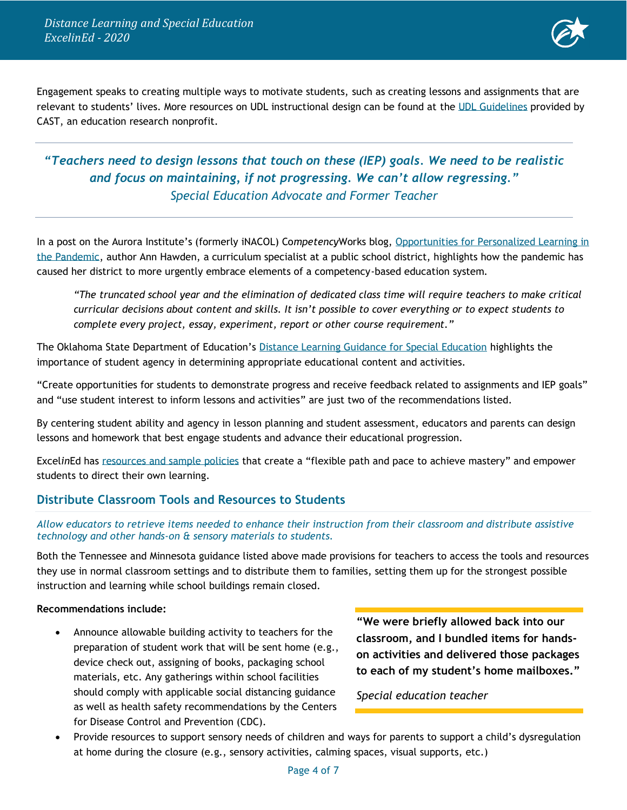*Distance Learning and Special Education ExcelinEd - 2020*



Engagement speaks to creating multiple ways to motivate students, such as creating lessons and assignments that are relevant to students' lives. More resources on UDL instructional design can be found at the [UDL Guidelines](http://udlguidelines.cast.org/?utm_medium=web&utm_campaign=none&utm_source=cast-about-udl) provided by CAST, an education research nonprofit.

# *"Teachers need to design lessons that touch on these (IEP) goals. We need to be realistic and focus on maintaining, if not progressing. We can't allow regressing." Special Education Advocate and Former Teacher*

In a post on the Aurora Institute's (formerly iNACOL) Co*mpetency*Works blog, [Opportunities for Personalized Learning in](https://aurora-institute.org/cw_post/opportunities-for-personalized-learning-in-the-pandemic/)  [the Pandemic,](https://aurora-institute.org/cw_post/opportunities-for-personalized-learning-in-the-pandemic/) author Ann Hawden, a curriculum specialist at a public school district, highlights how the pandemic has caused her district to more urgently embrace elements of a competency-based education system.

*"The truncated school year and the elimination of dedicated class time will require teachers to make critical curricular decisions about content and skills. It isn't possible to cover everything or to expect students to complete every project, essay, experiment, report or other course requirement."* 

The Oklahoma State Department of Education's [Distance Learning Guidance for Special Education](https://sde.ok.gov/sites/default/files/DistanceLearningGuidanceforSpecialEducation.pdf) highlights the importance of student agency in determining appropriate educational content and activities.

"Create opportunities for students to demonstrate progress and receive feedback related to assignments and IEP goals" and "use student interest to inform lessons and activities" are just two of the recommendations listed.

By centering student ability and agency in lesson planning and student assessment, educators and parents can design lessons and homework that best engage students and advance their educational progression.

Excel*in*Ed has [resources and sample policies](https://www.excelined.org/innovation/next-gen-learning/) that create a "flexible path and pace to achieve mastery" and empower students to direct their own learning.

### **Distribute Classroom Tools and Resources to Students**

#### *Allow educators to retrieve items needed to enhance their instruction from their classroom and distribute assistive technology and other hands-on & sensory materials to students.*

Both the Tennessee and Minnesota guidance listed above made provisions for teachers to access the tools and resources they use in normal classroom settings and to distribute them to families, setting them up for the strongest possible instruction and learning while school buildings remain closed.

#### **Recommendations include:**

• Announce allowable building activity to teachers for the preparation of student work that will be sent home (e.g., device check out, assigning of books, packaging school materials, etc. Any gatherings within school facilities should comply with applicable social distancing guidance as well as health safety recommendations by the Centers for Disease Control and Prevention (CDC).

**"We were briefly allowed back into our classroom, and I bundled items for handson activities and delivered those packages to each of my student's home mailboxes."**

*Special education teacher*

• Provide resources to support sensory needs of children and ways for parents to support a child's dysregulation at home during the closure (e.g., sensory activities, calming spaces, visual supports, etc.)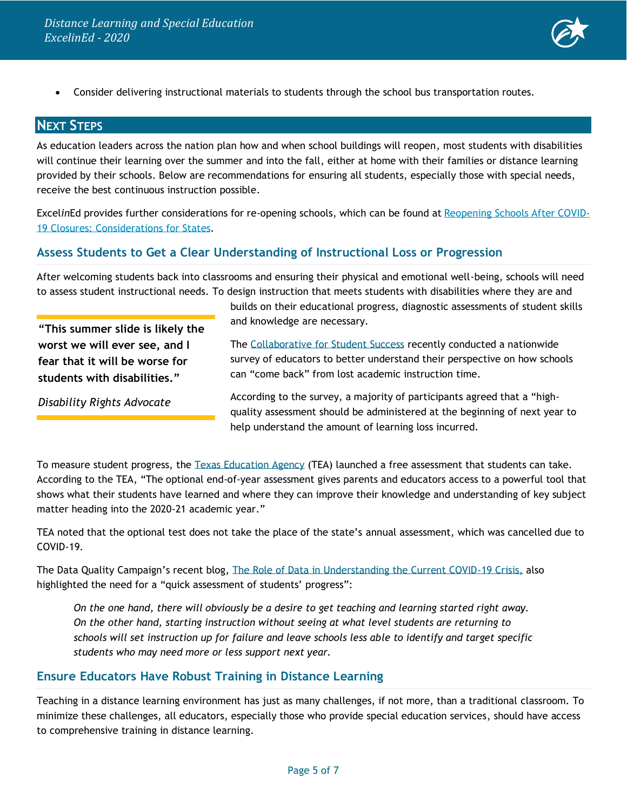

• Consider delivering instructional materials to students through the school bus transportation routes.

## **NEXT STEPS**

As education leaders across the nation plan how and when school buildings will reopen, most students with disabilities will continue their learning over the summer and into the fall, either at home with their families or distance learning provided by their schools. Below are recommendations for ensuring all students, especially those with special needs, receive the best continuous instruction possible.

Excel*in*Ed provides further considerations for re-opening schools, which can be found at [Reopening](https://www.excelined.org/wp-content/uploads/2020/05/ExcelinEd.COVID19.ReopeningSchoolsConsiderationsforStates.May2020.pdf) Schools After COVID-19 Closures: [Considerations](https://www.excelined.org/wp-content/uploads/2020/05/ExcelinEd.COVID19.ReopeningSchoolsConsiderationsforStates.May2020.pdf) for States.

#### **Assess Students to Get a Clear Understanding of Instructional Loss or Progression**

After welcoming students back into classrooms and ensuring their physical and emotional well-being, schools will need to assess student instructional needs. To design instruction that meets students with disabilities where they are and

**"This summer slide is likely the worst we will ever see, and I fear that it will be worse for students with disabilities."**

*Disability Rights Advocate*

builds on their educational progress, diagnostic assessments of student skills and knowledge are necessary.

The [Collaborative for Student Success](https://forstudentsuccess.org/wp-content/uploads/2020/04/SURVEY-ANALYSIS_FINAL-MEMO_4.30.2020.pdf) recently conducted a nationwide survey of educators to better understand their perspective on how schools can "come back" from lost academic instruction time.

According to the survey, a majority of participants agreed that a "highquality assessment should be administered at the beginning of next year to help understand the amount of learning loss incurred.

To measure student progress, the [Texas Education Agency](https://tea.texas.gov/student-assessment/testing/student-assessment-overview/parent-registration-for-eoy-assessments) (TEA) launched a free assessment that students can take. According to the TEA, "The optional end-of-year assessment gives parents and educators access to a powerful tool that shows what their students have learned and where they can improve their knowledge and understanding of key subject matter heading into the 2020-21 academic year."

TEA noted that the optional test does not take the place of the state's annual assessment, which was cancelled due to COVID-19.

The Data Quality Campaign's recent blog, [The Role of Data in Understanding the Current COVID-19 Crisis,](https://dataqualitycampaign.org/the-role-of-data-in-understanding-the-current-covid-19-crisis/) also highlighted the need for a "quick assessment of students' progress":

*On the one hand, there will obviously be a desire to get teaching and learning started right away. On the other hand, starting instruction without seeing at what level students are returning to schools will set instruction up for failure and leave schools less able to identify and target specific students who may need more or less support next year.*

### **Ensure Educators Have Robust Training in Distance Learning**

Teaching in a distance learning environment has just as many challenges, if not more, than a traditional classroom. To minimize these challenges, all educators, especially those who provide special education services, should have access to comprehensive training in distance learning.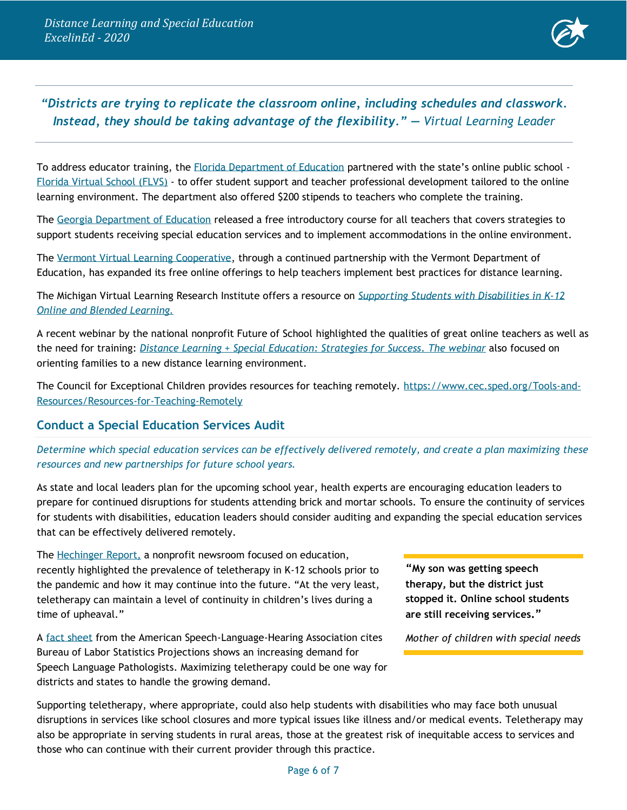

# *"Districts are trying to replicate the classroom online, including schedules and classwork. Instead, they should be taking advantage of the flexibility." — Virtual Learning Leader*

To address educator training, the Florida [Department of Education](http://www.fldoe.org/newsroom/latest-news/florida-virtual-school-offering-school-districts-teacher-training-to-prepare-for-online-learning-environment-in-the-event-of-school-closures.stml?utm_source=ExcelinEd+2018&utm_campaign=10f6ffe68d-EMAIL_CAMPAIGN_2020_03_19_05_52&utm_medium=email&utm_term=0_9c642535c4-10f6ffe68d-272417941) partnered with the state's online public school - [Florida Virtual School \(FLVS\)](https://www.flvs.net/coronavirus-school-support?source=vanity/FLVSTeacherTraining) - to offer student support and teacher professional development tailored to the online learning environment. The department also offered \$200 stipends to teachers who complete the training.

The [Georgia Department of Education](https://gavirtualpd.catalog.instructure.com/) released a free introductory course for all teachers that covers strategies to support students receiving special education services and to implement accommodations in the online environment.

The [Vermont Virtual Learning Cooperative,](https://www.vtvlc.org/covid-19/) through a continued partnership with the Vermont Department of Education, has expanded its free online offerings to help teachers implement best practices for distance learning.

The Michigan Virtual Learning Research Institute offers a resource on *[Supporting Students with Disabilities in K-12](https://michiganvirtual.org/research/publications/supporting-students-with-disabilities-in-k-12-online-and-blended-learning/)  [Online and Blended Learning.](https://michiganvirtual.org/research/publications/supporting-students-with-disabilities-in-k-12-online-and-blended-learning/)*

A recent webinar by the national nonprofit Future of School highlighted the qualities of great online teachers as well as the need for training: *[Distance Learning + Special Education: Strategies for Success.](https://www.futureof.school/fos-webi-replay/distance-learning-special-education-strategies-for-success2) The webinar* also focused on orienting families to a new distance learning environment*.*

The Council for Exceptional Children provides resources for teaching remotely. [https://www.cec.sped.org/Tools-and-](https://www.cec.sped.org/Tools-and-Resources/Resources-for-Teaching-Remotely)[Resources/Resources-for-Teaching-Remotely](https://www.cec.sped.org/Tools-and-Resources/Resources-for-Teaching-Remotely)

#### **Conduct a Special Education Services Audit**

*Determine which special education services can be effectively delivered remotely, and create a plan maximizing these resources and new partnerships for future school years.*

As state and local leaders plan for the upcoming school year, health experts are encouraging education leaders to prepare for continued disruptions for students attending brick and mortar schools. To ensure the continuity of services for students with disabilities, education leaders should consider auditing and expanding the special education services that can be effectively delivered remotely.

The [Hechinger Report,](https://hechingerreport.org/teletherapy-has-been-powering-virtual-special-education-possible-for-years/) a nonprofit newsroom focused on education, recently highlighted the prevalence of teletherapy in K-12 schools prior to the pandemic and how it may continue into the future. "At the very least, teletherapy can maintain a level of continuity in children's lives during a time of upheaval."

A [fact sheet](https://www.asha.org/uploadedFiles/Supply-Demand-SLP.pdf) from the American Speech-Language-Hearing Association cites Bureau of Labor Statistics Projections shows an increasing demand for Speech Language Pathologists. Maximizing teletherapy could be one way for districts and states to handle the growing demand.

**"My son was getting speech therapy, but the district just stopped it. Online school students are still receiving services."**

*Mother of children with special needs*

Supporting teletherapy, where appropriate, could also help students with disabilities who may face both unusual disruptions in services like school closures and more typical issues like illness and/or medical events. Teletherapy may also be appropriate in serving students in rural areas, those at the greatest risk of inequitable access to services and those who can continue with their current provider through this practice.